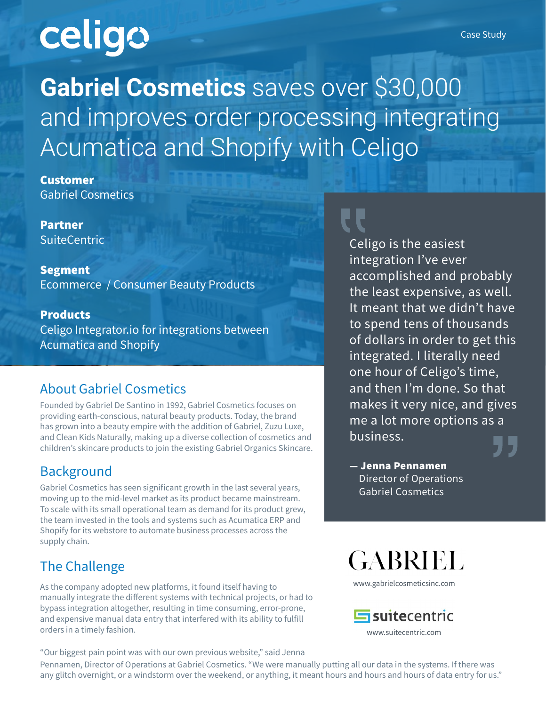# celigo

**Gabriel Cosmetics** saves over \$30,000 and improves order processing integrating Acumatica and Shopify with Celigo

Customer Gabriel Cosmetics

Partner **SuiteCentric** 

Segment Ecommerce / Consumer Beauty Products

Products Celigo Integrator.io for integrations between Acumatica and Shopify

#### About Gabriel Cosmetics

Founded by Gabriel De Santino in 1992, Gabriel Cosmetics focuses on providing earth-conscious, natural beauty products. Today, the brand has grown into a beauty empire with the addition of Gabriel, Zuzu Luxe, and Clean Kids Naturally, making up a diverse collection of cosmetics and children's skincare products to join the existing Gabriel Organics Skincare.

## **Background**

Gabriel Cosmetics has seen significant growth in the last several years, moving up to the mid-level market as its product became mainstream. To scale with its small operational team as demand for its product grew, the team invested in the tools and systems such as Acumatica ERP and Shopify for its webstore to automate business processes across the supply chain.

## The Challenge

As the company adopted new platforms, it found itself having to manually integrate the different systems with technical projects, or had to bypass integration altogether, resulting in time consuming, error-prone, and expensive manual data entry that interfered with its ability to fulfill orders in a timely fashion.

"Our biggest pain point was with our own previous website," said Jenna Pennamen, Director of Operations at Gabriel Cosmetics. "We were manually putting all our data in the systems. If there was any glitch overnight, or a windstorm over the weekend, or anything, it meant hours and hours and hours of data entry for us."

Celigo is the easiest integration I've ever accomplished and probably the least expensive, as well. It meant that we didn't have to spend tens of thousands of dollars in order to get this integrated. I literally need one hour of Celigo's time, and then I'm done. So that makes it very nice, and gives me a lot more options as a business.

— Jenna Pennamen Director of Operations Gabriel Cosmetics

**GABRIEL** 

www.gabrielcosmeticsinc.com